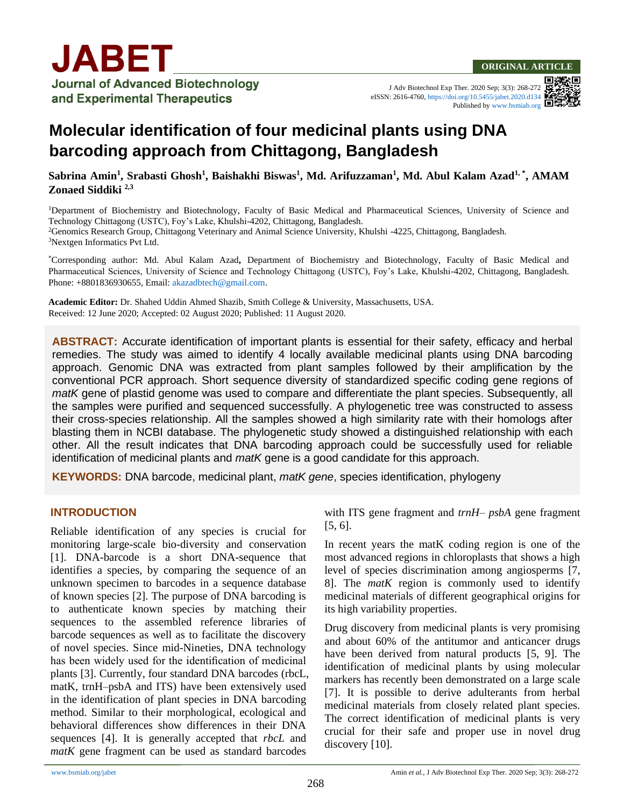J Adv Biotechnol Exp Ther. 2020 Sep; 3(3): 268-272 eISSN: 2616-4760[, https://doi.org/10.5455/jabet.2020.d134](https://doi.org/10.5455/jabet.2020.d134) Published b[y www.bsmiab.org](http://www.bsmiab.org/)

# **Molecular identification of four medicinal plants using DNA barcoding approach from Chittagong, Bangladesh**

**Sabrina Amin<sup>1</sup> , Srabasti Ghosh<sup>1</sup> , Baishakhi Biswas<sup>1</sup> , Md. Arifuzzaman<sup>1</sup> , Md. Abul Kalam Azad1, \*, AMAM Zonaed Siddiki 2,3**

Department of Biochemistry and Biotechnology, Faculty of Basic Medical and Pharmaceutical Sciences, University of Science and Technology Chittagong (USTC), Foy's Lake, Khulshi-4202, Chittagong, Bangladesh. Genomics Research Group, Chittagong Veterinary and Animal Science University, Khulshi -4225, Chittagong, Bangladesh. Nextgen Informatics Pvt Ltd.

\*Corresponding author: Md. Abul Kalam Azad**,** Department of Biochemistry and Biotechnology, Faculty of Basic Medical and Pharmaceutical Sciences, University of Science and Technology Chittagong (USTC), Foy's Lake, Khulshi-4202, Chittagong, Bangladesh. Phone: +8801836930655, Email: [akazadbtech@gmail.com.](mailto:akazadbtech@gmail.com)

**Academic Editor:** Dr. Shahed Uddin Ahmed Shazib, Smith College & University, Massachusetts, USA. Received: 12 June 2020; Accepted: 02 August 2020; Published: 11 August 2020.

**PROPHYLACTIC EXAMPLE ACCUTATE IGENTIFY** CORIGINAL DIGITAL CORPORT OF THE SAFETY, ENTERTY AND THE CORRECT CORRECT COR<br>The study was aimed to identify 4 locally available medicinal plants using DNA barcoding approach. Scholing BIV, was extracted from plant samples followed by their amplification by the conventional PCR approach. Short sequence diversity of standardized specific coding gene regions of **mice** the samples were purified and sequenced successfully. A phylogenetic tree was constructed to assess **ABSTRACT:** Accurate identification of important plants is essential for their safety, efficacy and herbal approach. Genomic DNA was extracted from plant samples followed by their amplification by the *matK* gene of plastid genome was used to compare and differentiate the plant species. Subsequently, all their cross-species relationship. All the samples showed a high similarity rate with their homologs after blasting them in NCBI database. The phylogenetic study showed a distinguished relationship with each other. All the result indicates that DNA barcoding approach could be successfully used for reliable identification of medicinal plants and *matK* gene is a good candidate for this approach.

**KEYWORDS:** DNA barcode, medicinal plant, *matK gene*, species identification, phylogeny

#### **INTRODUCTION** WI

Reliable identification of any species is crucial for monitoring large-scale bio-diversity and conservation [1]. DNA-barcode is a short DNA-sequence that identifies a species, by comparing the sequence of an unknown specimen to barcodes in a sequence database of known species [2]. The purpose of DNA barcoding is to authenticate known species by matching their sequences to the assembled reference libraries of barcode sequences as well as to facilitate the discovery of novel species. Since mid-Nineties, DNA technology has been widely used for the identification of medicinal plants [3]. Currently, four standard DNA barcodes (rbcL, matK, trnH–psbA and ITS) have been extensively used in the identification of plant species in DNA barcoding method. Similar to their morphological, ecological and behavioral differences show differences in their DNA sequences [4]. It is generally accepted that *rbcL* and *matK* gene fragment can be used as standard barcodes

with ITS gene fragment and *trnH– psbA* gene fragment [5, 6].

In recent years the matK coding region is one of the most advanced regions in chloroplasts that shows a high level of species discrimination among angiosperms [7, 8]. The *matK* region is commonly used to identify medicinal materials of different geographical origins for its high variability properties.

Drug discovery from medicinal plants is very promising and about 60% of the antitumor and anticancer drugs have been derived from natural products [5, 9]. The identification of medicinal plants by using molecular markers has recently been demonstrated on a large scale [7]. It is possible to derive adulterants from herbal medicinal materials from closely related plant species. The correct identification of medicinal plants is very crucial for their safe and proper use in novel drug discovery [10].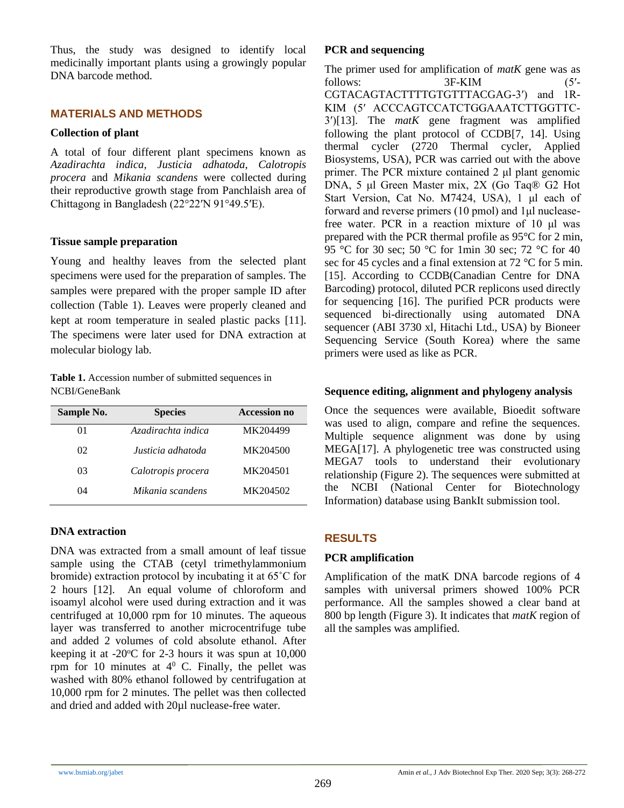Thus, the study was designed to identify local medicinally important plants using a growingly popular DNA barcode method.

#### **MATERIALS AND METHODS**

#### **Collection of plant**

A total of four different plant specimens known as *Azadirachta indica, Justicia adhatoda*, *Calotropis procera* and *Mikania scandens* were collected during their reproductive growth stage from Panchlaish area of Chittagong in Bangladesh (22°22′N 91°49.5′E).

#### **Tissue sample preparation**

Young and healthy leaves from the selected plant specimens were used for the preparation of samples. The samples were prepared with the proper sample ID after collection (Table 1). Leaves were properly cleaned and kept at room temperature in sealed plastic packs [11]. The specimens were later used for DNA extraction at molecular biology lab.

**Table 1.** Accession number of submitted sequences in NCBI/GeneBank

| Sample No. | <b>Species</b>     | <b>Accession no</b> |  |
|------------|--------------------|---------------------|--|
| $^{O1}$    | Azadirachta indica | MK204499            |  |
| 02         | Justicia adhatoda  | MK204500            |  |
| 03         | Calotropis procera | MK204501            |  |
| 04         | Mikania scandens   | MK204502            |  |

#### **DNA extraction**

DNA was extracted from a small amount of leaf tissue sample using the CTAB (cetyl trimethylammonium bromide) extraction protocol by incubating it at 65˚C for 2 hours [12]. An equal volume of chloroform and isoamyl alcohol were used during extraction and it was centrifuged at 10,000 rpm for 10 minutes. The aqueous layer was transferred to another microcentrifuge tube and added 2 volumes of cold absolute ethanol. After keeping it at  $-20^{\circ}$ C for 2-3 hours it was spun at  $10,000$ rpm for 10 minutes at  $4^{\circ}$  C. Finally, the pellet was washed with 80% ethanol followed by centrifugation at 10,000 rpm for 2 minutes. The pellet was then collected and dried and added with 20µl nuclease-free water.

#### **PCR and sequencing**

The primer used for amplification of *matK* gene was as follows: 3F-KIM (5'-CGTACAGTACTTTTGTGTTTACGAG-3') and 1R-KIM (5ʹ ACCCAGTCCATCTGGAAATCTTGGTTC-3ʹ)[13]. The *matK* gene fragment was amplified following the plant protocol of CCDB[7, 14]. Using thermal cycler (2720 Thermal cycler, Applied Biosystems, USA), PCR was carried out with the above primer. The PCR mixture contained 2 μl plant genomic DNA, 5 μl Green Master mix, 2X (Go Taq® G2 Hot Start Version, Cat No. M7424, USA), 1 μl each of forward and reverse primers (10 pmol) and 1μl nucleasefree water. PCR in a reaction mixture of 10 μl was prepared with the PCR thermal profile as 95°C for 2 min, 95 °C for 30 sec; 50 °C for 1min 30 sec; 72 °C for 40 sec for 45 cycles and a final extension at 72 °C for 5 min. [15]. According to CCDB(Canadian Centre for DNA Barcoding) protocol, diluted PCR replicons used directly for sequencing [16]. The purified PCR products were sequenced bi-directionally using automated DNA sequencer (ABI 3730 xl, Hitachi Ltd., USA) by Bioneer Sequencing Service (South Korea) where the same primers were used as like as PCR.

#### **Sequence editing, alignment and phylogeny analysis**

Once the sequences were available, Bioedit software was used to align, compare and refine the sequences. Multiple sequence alignment was done by using MEGA[17]. A phylogenetic tree was constructed using MEGA7 tools to understand their evolutionary relationship (Figure 2). The sequences were submitted at the NCBI (National Center for Biotechnology Information) database using BankIt submission tool.

## **RESULTS**

## **PCR amplification**

Amplification of the matK DNA barcode regions of 4 samples with universal primers showed 100% PCR performance. All the samples showed a clear band at 800 bp length (Figure 3). It indicates that *matK* region of all the samples was amplified.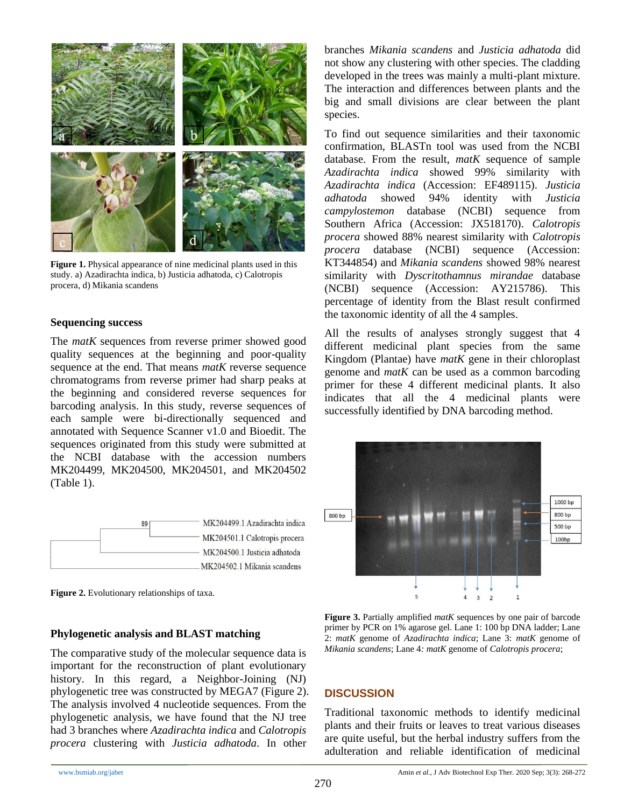

**Figure 1.** Physical appearance of nine medicinal plants used in this study. a) Azadirachta indica, b) Justicia adhatoda, c) Calotropis procera, d) Mikania scandens

#### **Sequencing success**

The *matK* sequences from reverse primer showed good quality sequences at the beginning and poor-quality sequence at the end. That means *matK* reverse sequence chromatograms from reverse primer had sharp peaks at the beginning and considered reverse sequences for barcoding analysis. In this study, reverse sequences of each sample were bi-directionally sequenced and annotated with Sequence Scanner v1.0 and Bioedit. The sequences originated from this study were submitted at the NCBI database with the accession numbers MK204499, MK204500, MK204501, and MK204502 (Table 1).



**Figure 2.** Evolutionary relationships of taxa.

#### **Phylogenetic analysis and BLAST matching**

The comparative study of the molecular sequence data is important for the reconstruction of plant evolutionary history. In this regard, a Neighbor-Joining (NJ) phylogenetic tree was constructed by MEGA7 (Figure 2). The analysis involved 4 nucleotide sequences. From the phylogenetic analysis, we have found that the NJ tree had 3 branches where *Azadirachta indica* and *Calotropis procera* clustering with *Justicia adhatoda*. In other

branches *Mikania scandens* and *Justicia adhatoda* did not show any clustering with other species. The cladding developed in the trees was mainly a multi-plant mixture. The interaction and differences between plants and the big and small divisions are clear between the plant species.

To find out sequence similarities and their taxonomic confirmation, BLASTn tool was used from the NCBI database. From the result, *matK* sequence of sample *Azadirachta indica* showed 99% similarity with *Azadirachta indica* (Accession: EF489115). *Justicia adhatoda* showed 94% identity with *Justicia campylostemon* database (NCBI) sequence from Southern Africa (Accession: JX518170). *Calotropis procera* showed 88% nearest similarity with *Calotropis procera* database (NCBI) sequence (Accession: KT344854) and *Mikania scandens* showed 98% nearest similarity with *Dyscritothamnus mirandae* database (NCBI) sequence (Accession: AY215786). This percentage of identity from the Blast result confirmed the taxonomic identity of all the 4 samples.

All the results of analyses strongly suggest that 4 different medicinal plant species from the same Kingdom (Plantae) have *matK* gene in their chloroplast genome and *matK* can be used as a common barcoding primer for these 4 different medicinal plants. It also indicates that all the 4 medicinal plants were successfully identified by DNA barcoding method.



**Figure 3.** Partially amplified *matK* sequences by one pair of barcode primer by PCR on 1% agarose gel. Lane 1: 100 bp DNA ladder; Lane 2: *matK* genome of *Azadirachta indica*; Lane 3: *matK* genome of *Mikania scandens*; Lane 4*: matK* genome of *Calotropis procera*;

#### **DISCUSSION**

Traditional taxonomic methods to identify medicinal plants and their fruits or leaves to treat various diseases are quite useful, but the herbal industry suffers from the adulteration and reliable identification of medicinal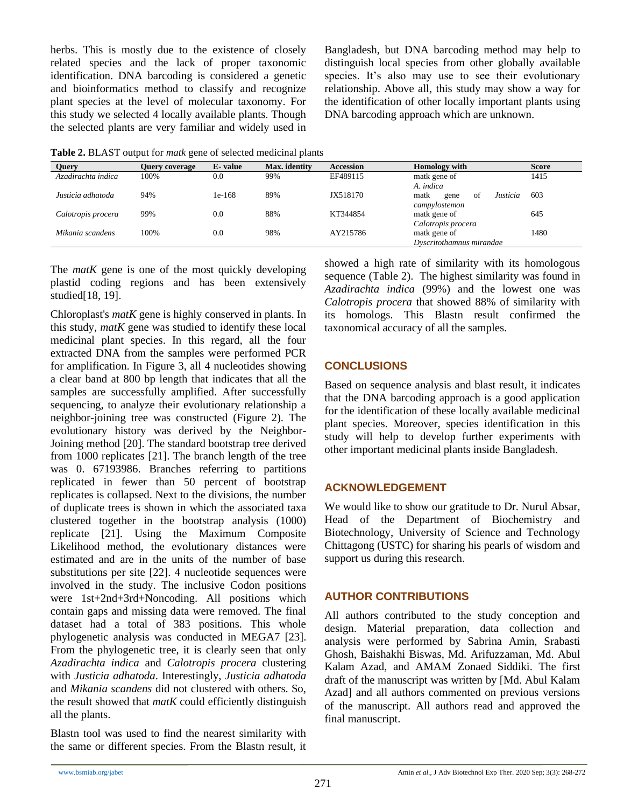herbs. This is mostly due to the existence of closely related species and the lack of proper taxonomic identification. DNA barcoding is considered a genetic and bioinformatics method to classify and recognize plant species at the level of molecular taxonomy. For this study we selected 4 locally available plants. Though the selected plants are very familiar and widely used in Bangladesh, but DNA barcoding method may help to distinguish local species from other globally available species. It's also may use to see their evolutionary relationship. Above all, this study may show a way for the identification of other locally important plants using DNA barcoding approach which are unknown.

**Table 2.** BLAST output for *matk* gene of selected medicinal plants

| Query              | <b>Ouery coverage</b> | E-value | Max. identity | <b>Accession</b> | <b>Homology</b> with           | <b>Score</b> |
|--------------------|-----------------------|---------|---------------|------------------|--------------------------------|--------------|
| Azadirachta indica | 100%                  | 0.0     | 99%           | EF489115         | matk gene of                   | 1415         |
|                    |                       |         |               |                  | A. indica                      |              |
| Justicia adhatoda  | 94%                   | 1e-168  | 89%           | JX518170         | Justicia<br>matk<br>of<br>gene | 603          |
|                    |                       |         |               |                  | campylostemon                  |              |
| Calotropis procera | 99%                   | 0.0     | 88%           | KT344854         | matk gene of                   | 645          |
|                    |                       |         |               |                  | Calotropis procera             |              |
| Mikania scandens   | 100%                  | 0.0     | 98%           | AY215786         | matk gene of                   | 1480         |
|                    |                       |         |               |                  | Dyscritothamnus mirandae       |              |

The *matK* gene is one of the most quickly developing plastid coding regions and has been extensively studied[18, 19].

Chloroplast's *matK* gene is highly conserved in plants. In this study, *matK* gene was studied to identify these local medicinal plant species. In this regard, all the four extracted DNA from the samples were performed PCR for amplification. In Figure 3, all 4 nucleotides showing a clear band at 800 bp length that indicates that all the samples are successfully amplified. After successfully sequencing, to analyze their evolutionary relationship a neighbor-joining tree was constructed (Figure 2). The evolutionary history was derived by the Neighbor-Joining method [20]. The standard bootstrap tree derived from 1000 replicates [21]. The branch length of the tree was 0. 67193986. Branches referring to partitions replicated in fewer than 50 percent of bootstrap replicates is collapsed. Next to the divisions, the number of duplicate trees is shown in which the associated taxa clustered together in the bootstrap analysis (1000) replicate [21]. Using the Maximum Composite Likelihood method, the evolutionary distances were estimated and are in the units of the number of base substitutions per site [22]. 4 nucleotide sequences were involved in the study. The inclusive Codon positions were 1st+2nd+3rd+Noncoding. All positions which contain gaps and missing data were removed. The final dataset had a total of 383 positions. This whole phylogenetic analysis was conducted in MEGA7 [23]. From the phylogenetic tree, it is clearly seen that only *Azadirachta indica* and *Calotropis procera* clustering with *Justicia adhatoda*. Interestingly, *Justicia adhatoda* and *Mikania scandens* did not clustered with others. So, the result showed that *matK* could efficiently distinguish all the plants.

Blastn tool was used to find the nearest similarity with the same or different species. From the Blastn result, it

showed a high rate of similarity with its homologous sequence (Table 2). The highest similarity was found in *Azadirachta indica* (99%) and the lowest one was *Calotropis procera* that showed 88% of similarity with its homologs. This Blastn result confirmed the taxonomical accuracy of all the samples.

## **CONCLUSIONS**

Based on sequence analysis and blast result, it indicates that the DNA barcoding approach is a good application for the identification of these locally available medicinal plant species. Moreover, species identification in this study will help to develop further experiments with other important medicinal plants inside Bangladesh.

## **ACKNOWLEDGEMENT**

We would like to show our gratitude to Dr. Nurul Absar, Head of the Department of Biochemistry and Biotechnology, University of Science and Technology Chittagong (USTC) for sharing his pearls of wisdom and support us during this research.

## **AUTHOR CONTRIBUTIONS**

All authors contributed to the study conception and design. Material preparation, data collection and analysis were performed by Sabrina Amin, Srabasti Ghosh, Baishakhi Biswas, Md. Arifuzzaman, Md. Abul Kalam Azad, and AMAM Zonaed Siddiki. The first draft of the manuscript was written by [Md. Abul Kalam Azad] and all authors commented on previous versions of the manuscript. All authors read and approved the final manuscript.